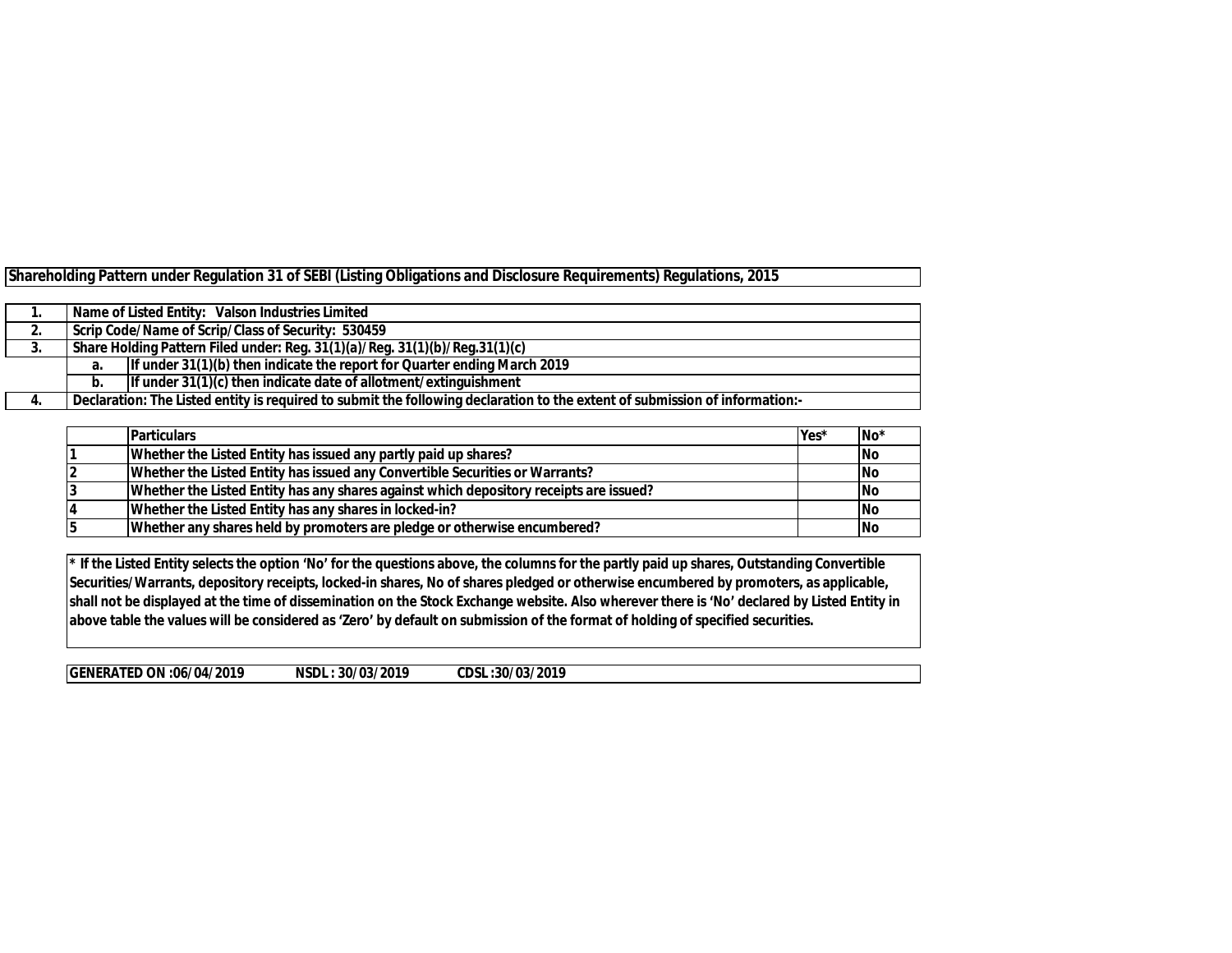|  |  | Shareholding Pattern under Regulation 31 of SEBI (Listing Obligations and Disclosure Requirements) Regulations, 2015 |
|--|--|----------------------------------------------------------------------------------------------------------------------|
|  |  |                                                                                                                      |

|     |    | Name of Listed Entity: Valson Industries Limited                                                                            |  |  |  |  |  |  |  |  |  |  |
|-----|----|-----------------------------------------------------------------------------------------------------------------------------|--|--|--|--|--|--|--|--|--|--|
| Ζ.  |    | Scrip Code/Name of Scrip/Class of Security: 530459                                                                          |  |  |  |  |  |  |  |  |  |  |
| .ა. |    | Share Holding Pattern Filed under: Reg. 31(1)(a)/Reg. 31(1)(b)/Reg.31(1)(c)                                                 |  |  |  |  |  |  |  |  |  |  |
|     | а. | If under $31(1)(b)$ then indicate the report for Quarter ending March 2019                                                  |  |  |  |  |  |  |  |  |  |  |
|     | b. | If under $31(1)(c)$ then indicate date of allotment/extinguishment                                                          |  |  |  |  |  |  |  |  |  |  |
| 4.  |    | Declaration: The Listed entity is required to submit the following declaration to the extent of submission of information:- |  |  |  |  |  |  |  |  |  |  |

| <b>Particulars</b>                                                                     | Yes* | No <sup>*</sup> |
|----------------------------------------------------------------------------------------|------|-----------------|
| Whether the Listed Entity has issued any partly paid up shares?                        |      | <b>No</b>       |
| Whether the Listed Entity has issued any Convertible Securities or Warrants?           |      | <b>INo</b>      |
| Whether the Listed Entity has any shares against which depository receipts are issued? |      | <b>INo</b>      |
| Whether the Listed Entity has any shares in locked-in?                                 |      | <b>INo</b>      |
| Whether any shares held by promoters are pledge or otherwise encumbered?               |      | <b>INo</b>      |

**\* If the Listed Entity selects the option 'No' for the questions above, the columns for the partly paid up shares, Outstanding Convertible Securities/Warrants, depository receipts, locked-in shares, No of shares pledged or otherwise encumbered by promoters, as applicable, shall not be displayed at the time of dissemination on the Stock Exchange website. Also wherever there is 'No' declared by Listed Entity in above table the values will be considered as 'Zero' by default on submission of the format of holding of specified securities.**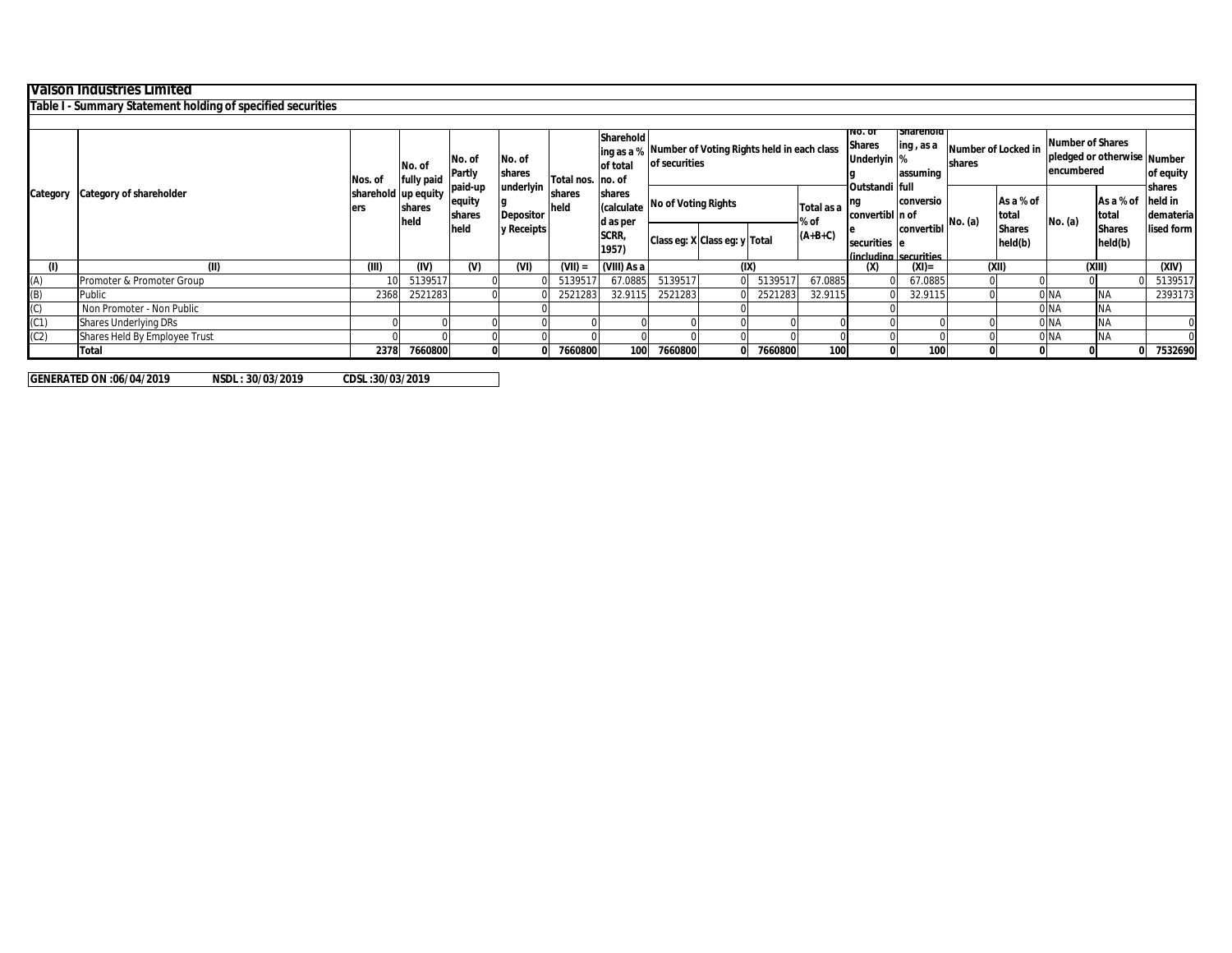| <b>Valson Industries Limited</b><br>Table I - Summary Statement holding of specified securities<br><b>Snarenoid</b><br>INO. OI<br>Sharehold<br><b>Shares</b><br>ling, as a<br>Number of Locked in<br>ing as a % Number of Voting Rights held in each class<br>No. of<br>No. of<br>Underlyin %<br>of securities<br>shares<br>of total<br>No. of<br><b>Partly</b><br>assuming<br>shares<br>fully paid<br>Nos. of<br>Total nos. no. of<br>ınderlyin<br>paid-up<br>full<br>Outstandi<br>sharehold up equity<br>Category of shareholder<br>shares<br>Category<br>shares<br>As a % of<br>equity<br>conversio<br><b>No of Voting Rights</b><br>(calculate<br>held<br>Total as a<br>shares<br>lers<br>convertibl n of<br>shares<br><b>Depositor</b><br>total<br>held<br>No. (a)<br>% of<br>Iconvertibl No. (a)<br>d as per<br>held<br><b>Shares</b><br>y Receipts<br>SCRR,<br>$(A+B+C)$<br>Class eg: X Class eg: y Total<br>held(b)<br>securities e<br>1957)<br>Cincluding securities<br>(IV)<br>$(V)$<br>(IX)<br>$(XI) =$<br>(XII)<br>(1)<br>(II)<br>(III)<br>(VI)<br>$(VII) =$<br>(VIII) As a<br>(x)<br>(A)<br>5139517<br>67.0885<br>67.0885<br>5139517<br>513951<br>513951<br>67.0885<br>Promoter & Promoter Group<br>10<br>(B)<br>32.9115<br>2521283<br>2521283<br>2521283<br>2368<br>2521283<br>32.9115<br>32.9115<br>0 NA<br>Public<br>(C)<br>0 NA<br>Non Promoter - Non Public |                                                                      |  |  |  |  |  |  |  |  |  |                              |      |  |
|-------------------------------------------------------------------------------------------------------------------------------------------------------------------------------------------------------------------------------------------------------------------------------------------------------------------------------------------------------------------------------------------------------------------------------------------------------------------------------------------------------------------------------------------------------------------------------------------------------------------------------------------------------------------------------------------------------------------------------------------------------------------------------------------------------------------------------------------------------------------------------------------------------------------------------------------------------------------------------------------------------------------------------------------------------------------------------------------------------------------------------------------------------------------------------------------------------------------------------------------------------------------------------------------------------------------------------------------------------------------------------|----------------------------------------------------------------------|--|--|--|--|--|--|--|--|--|------------------------------|------|--|
|                                                                                                                                                                                                                                                                                                                                                                                                                                                                                                                                                                                                                                                                                                                                                                                                                                                                                                                                                                                                                                                                                                                                                                                                                                                                                                                                                                               |                                                                      |  |  |  |  |  |  |  |  |  |                              |      |  |
|                                                                                                                                                                                                                                                                                                                                                                                                                                                                                                                                                                                                                                                                                                                                                                                                                                                                                                                                                                                                                                                                                                                                                                                                                                                                                                                                                                               |                                                                      |  |  |  |  |  |  |  |  |  |                              |      |  |
|                                                                                                                                                                                                                                                                                                                                                                                                                                                                                                                                                                                                                                                                                                                                                                                                                                                                                                                                                                                                                                                                                                                                                                                                                                                                                                                                                                               |                                                                      |  |  |  |  |  |  |  |  |  |                              |      |  |
|                                                                                                                                                                                                                                                                                                                                                                                                                                                                                                                                                                                                                                                                                                                                                                                                                                                                                                                                                                                                                                                                                                                                                                                                                                                                                                                                                                               | <b>Number of Shares</b><br>pledged or otherwise Number<br>encumbered |  |  |  |  |  |  |  |  |  |                              |      |  |
|                                                                                                                                                                                                                                                                                                                                                                                                                                                                                                                                                                                                                                                                                                                                                                                                                                                                                                                                                                                                                                                                                                                                                                                                                                                                                                                                                                               | held in<br>As a % of<br>total                                        |  |  |  |  |  |  |  |  |  |                              |      |  |
|                                                                                                                                                                                                                                                                                                                                                                                                                                                                                                                                                                                                                                                                                                                                                                                                                                                                                                                                                                                                                                                                                                                                                                                                                                                                                                                                                                               | <b>Shares</b><br>held(b)                                             |  |  |  |  |  |  |  |  |  |                              |      |  |
|                                                                                                                                                                                                                                                                                                                                                                                                                                                                                                                                                                                                                                                                                                                                                                                                                                                                                                                                                                                                                                                                                                                                                                                                                                                                                                                                                                               | (XIII)                                                               |  |  |  |  |  |  |  |  |  |                              |      |  |
|                                                                                                                                                                                                                                                                                                                                                                                                                                                                                                                                                                                                                                                                                                                                                                                                                                                                                                                                                                                                                                                                                                                                                                                                                                                                                                                                                                               |                                                                      |  |  |  |  |  |  |  |  |  |                              |      |  |
|                                                                                                                                                                                                                                                                                                                                                                                                                                                                                                                                                                                                                                                                                                                                                                                                                                                                                                                                                                                                                                                                                                                                                                                                                                                                                                                                                                               | <b>NA</b>                                                            |  |  |  |  |  |  |  |  |  |                              |      |  |
|                                                                                                                                                                                                                                                                                                                                                                                                                                                                                                                                                                                                                                                                                                                                                                                                                                                                                                                                                                                                                                                                                                                                                                                                                                                                                                                                                                               | <b>NA</b>                                                            |  |  |  |  |  |  |  |  |  |                              |      |  |
|                                                                                                                                                                                                                                                                                                                                                                                                                                                                                                                                                                                                                                                                                                                                                                                                                                                                                                                                                                                                                                                                                                                                                                                                                                                                                                                                                                               | 0 NA<br><b>INA</b>                                                   |  |  |  |  |  |  |  |  |  | <b>Shares Underlying DRs</b> | (C1) |  |
| (C2)<br>0 NA<br>Shares Held By Employee Trust                                                                                                                                                                                                                                                                                                                                                                                                                                                                                                                                                                                                                                                                                                                                                                                                                                                                                                                                                                                                                                                                                                                                                                                                                                                                                                                                 | <b>NA</b>                                                            |  |  |  |  |  |  |  |  |  |                              |      |  |
| 7660800<br>7660800<br>100<br>7660800<br>7660800<br>100<br><b>Total</b><br>2378<br>100                                                                                                                                                                                                                                                                                                                                                                                                                                                                                                                                                                                                                                                                                                                                                                                                                                                                                                                                                                                                                                                                                                                                                                                                                                                                                         |                                                                      |  |  |  |  |  |  |  |  |  |                              |      |  |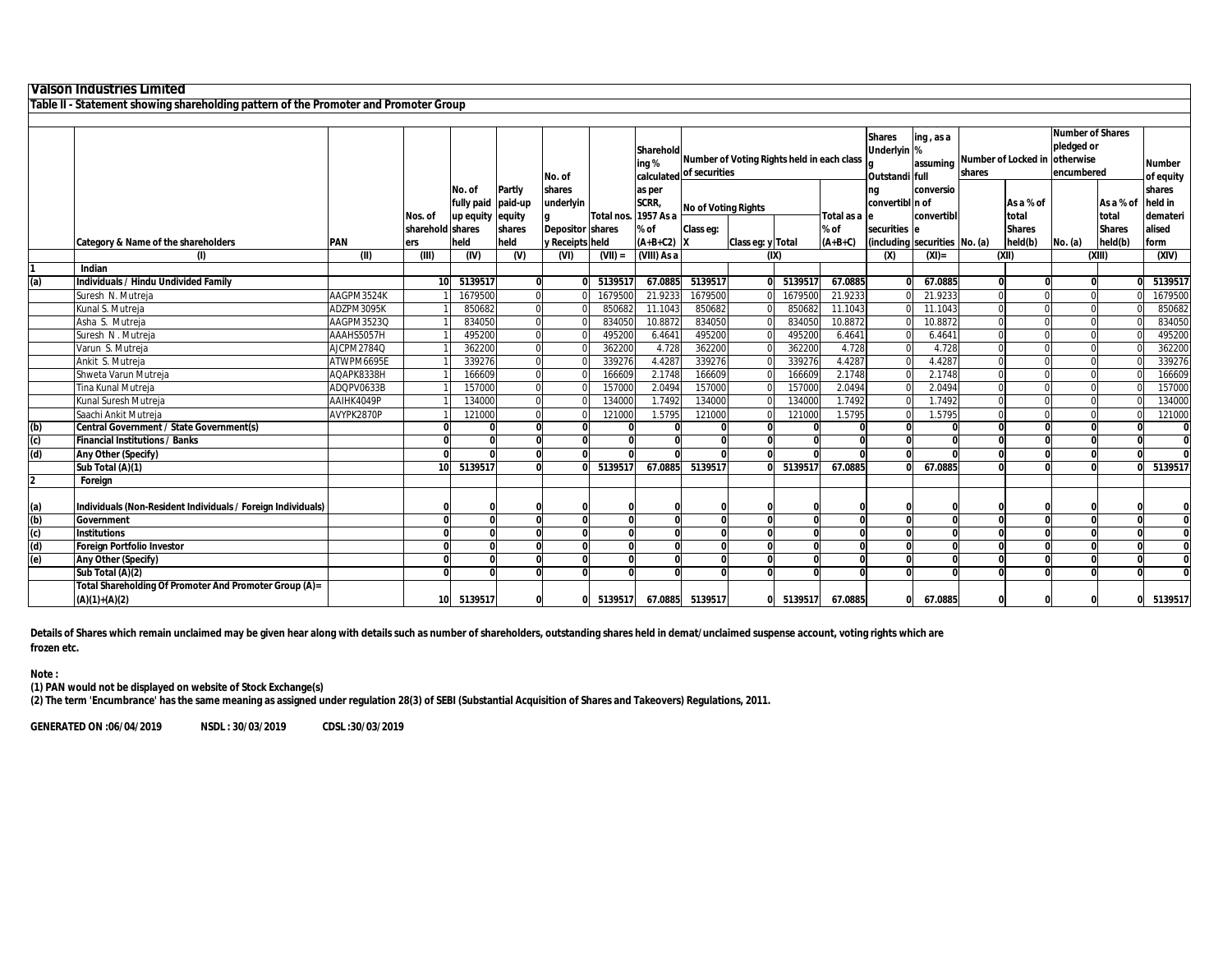|                                                                                      | Valson Industries Limited                                                 |            |                         |                      |                   |                         |            |                              |                            |                   |                                            |                       |                               |                         |          |                    |                                                |                    |                               |                       |        |                                |                                                     |  |                            |
|--------------------------------------------------------------------------------------|---------------------------------------------------------------------------|------------|-------------------------|----------------------|-------------------|-------------------------|------------|------------------------------|----------------------------|-------------------|--------------------------------------------|-----------------------|-------------------------------|-------------------------|----------|--------------------|------------------------------------------------|--------------------|-------------------------------|-----------------------|--------|--------------------------------|-----------------------------------------------------|--|----------------------------|
| Table II - Statement showing shareholding pattern of the Promoter and Promoter Group |                                                                           |            |                         |                      |                   |                         |            |                              |                            |                   |                                            |                       |                               |                         |          |                    |                                                |                    |                               |                       |        |                                |                                                     |  |                            |
|                                                                                      |                                                                           |            |                         |                      |                   |                         |            |                              |                            |                   |                                            |                       |                               |                         |          |                    |                                                |                    |                               |                       |        |                                |                                                     |  |                            |
|                                                                                      |                                                                           |            |                         |                      |                   | No. of                  |            | Sharehold<br>ing %           | calculated of securities   |                   | Number of Voting Rights held in each class |                       |                               |                         |          |                    | <b>Shares</b><br>Underlyin %<br>Outstandi full |                    |                               | ing, as a<br>assuming | shares | Number of Locked in lotherwise | <b>Number of Shares</b><br>pledged or<br>encumbered |  | <b>Number</b><br>of equity |
|                                                                                      |                                                                           |            |                         | No. of<br>fully paid | Partly<br>paid-up | shares<br>underlyin     | Total nos. | as per<br>SCRR,<br>1957 As a | <b>No of Voting Rights</b> |                   |                                            |                       | ng<br>convertibl n of         | conversio<br>convertibl |          | As a % of<br>total |                                                | As a % of<br>total | shares<br>held in<br>demateri |                       |        |                                |                                                     |  |                            |
|                                                                                      |                                                                           |            | Nos. of                 | up equity equity     |                   | <b>Depositor shares</b> |            | % of                         | Class eq:                  |                   |                                            | Total as a le<br>% of | securities e                  |                         |          | <b>Shares</b>      |                                                | <b>Shares</b>      | alised                        |                       |        |                                |                                                     |  |                            |
|                                                                                      | <b>Category &amp; Name of the shareholders</b>                            | <b>PAN</b> | sharehold shares<br>ers | held                 | shares<br>held    | y Receipts held         |            | $(A+B+C2)$ X                 |                            | Class eg: y Total |                                            | $(A+B+C)$             | (including securities No. (a) |                         |          | held(b)            | No. (a)                                        | held(b)            | form                          |                       |        |                                |                                                     |  |                            |
|                                                                                      | (I)                                                                       | (II)       | (III)                   | $\overline{w}$       | $\overline{w}$    | (VI)                    | $(VII) =$  | (VIII) As a                  |                            | (IX)              |                                            |                       | (x)                           | $(XI) =$                |          | (X I)              |                                                | (XIII)             | (XIV)                         |                       |        |                                |                                                     |  |                            |
|                                                                                      | Indian                                                                    |            |                         |                      |                   |                         |            |                              |                            |                   |                                            |                       |                               |                         |          |                    |                                                |                    |                               |                       |        |                                |                                                     |  |                            |
| (a)                                                                                  | <b>Individuals / Hindu Undivided Family</b>                               |            | 10                      | 5139517              |                   |                         | 5139517    | 67.0885                      | 5139517                    | <sup>0</sup>      | 5139517                                    | 67.0885               |                               | 67.0885                 |          | 0                  |                                                |                    | 5139517                       |                       |        |                                |                                                     |  |                            |
|                                                                                      | Suresh N. Mutreja                                                         | AAGPM3524K |                         | 1679500              |                   |                         | 1679500    | 21.9233                      | 1679500                    |                   | 1679500                                    | 21.9233               |                               | 21.9233                 | $\Omega$ |                    |                                                |                    | 1679500                       |                       |        |                                |                                                     |  |                            |
|                                                                                      | Kunal S. Mutreja                                                          | ADZPM3095K |                         | 850682               |                   |                         | 850682     | 11.1043                      | 850682                     |                   | 850682                                     | 11.1043               |                               | 11.1043                 | $\Omega$ | $\cap$             |                                                |                    | 850682                        |                       |        |                                |                                                     |  |                            |
|                                                                                      | Asha S. Mutreja                                                           | AAGPM3523Q |                         | 834050               |                   |                         | 834050     | 10.8872                      | 834050                     | $\Omega$          | 834050                                     | 10.8872               |                               | 10.8872                 | $\Omega$ | $\Omega$           | $\Omega$                                       |                    | 834050                        |                       |        |                                |                                                     |  |                            |
|                                                                                      | Suresh N. Mutreia                                                         | AAAHS5057H |                         | 495200               |                   |                         | 495200     | 6.4641                       | 495200                     |                   | 495200                                     | 6.4641                |                               | 6.4641                  | $\Omega$ |                    |                                                |                    | 495200                        |                       |        |                                |                                                     |  |                            |
|                                                                                      | Varun S. Mutreja                                                          | AJCPM2784Q |                         | 362200               |                   |                         | 362200     | 4.728                        | 362200                     |                   | 362200                                     | 4.728                 |                               | 4.728                   | $\Omega$ | $\Omega$           |                                                |                    | 362200                        |                       |        |                                |                                                     |  |                            |
|                                                                                      | Ankit S. Mutreja                                                          | ATWPM6695E |                         | 339276               |                   |                         | 339276     | 4.4287                       | 339276                     |                   | 339276                                     | 4.4287                |                               | 4.4287                  | $\Omega$ | $\Omega$           |                                                |                    | 339276                        |                       |        |                                |                                                     |  |                            |
|                                                                                      | Shweta Varun Mutreja                                                      | AQAPK8338H |                         | 166609               |                   |                         | 166609     | 2.1748                       | 166609                     |                   | 166609                                     | 2.1748                |                               | 2.1748                  | $\Omega$ | $\Omega$           |                                                |                    | 166609                        |                       |        |                                |                                                     |  |                            |
|                                                                                      | Tina Kunal Mutreja                                                        | ADQPV0633B |                         | 157000               |                   |                         | 157000     | 2.0494                       | 157000                     |                   | 157000                                     | 2.0494                |                               | 2.0494                  | $\Omega$ |                    |                                                |                    | 157000                        |                       |        |                                |                                                     |  |                            |
|                                                                                      | Kunal Suresh Mutreja                                                      | AAIHK4049P |                         | 134000               |                   |                         | 134000     | 1.7492                       | 134000                     | $\cap$            | 134000                                     | 1.7492                |                               | 1.7492                  | $\Omega$ | $\Omega$           | $\sqrt{2}$                                     |                    | 134000                        |                       |        |                                |                                                     |  |                            |
|                                                                                      | Saachi Ankit Mutreja                                                      | AVYPK2870P |                         | 121000               |                   |                         | 121000     | 1.5795                       | 121000                     | $\Omega$          | 121000                                     | 1.5795                | $\Omega$                      | 1.5795                  | $\Omega$ | $\Omega$           | $\Omega$                                       |                    | 121000                        |                       |        |                                |                                                     |  |                            |
| (b)                                                                                  | Central Government / State Government(s)                                  |            |                         |                      |                   |                         |            |                              |                            |                   |                                            |                       | $\Omega$                      |                         |          | $\Omega$           |                                                |                    | O                             |                       |        |                                |                                                     |  |                            |
| (c)                                                                                  | <b>Financial Institutions / Banks</b>                                     |            |                         |                      |                   |                         |            |                              |                            | $\Omega$          |                                            |                       | $\mathbf{0}$                  |                         |          | $\Omega$           | $\Omega$                                       |                    | $\bf{0}$                      |                       |        |                                |                                                     |  |                            |
| (d)                                                                                  | Any Other (Specify)                                                       |            |                         |                      |                   |                         |            |                              |                            |                   |                                            |                       | $\Omega$                      |                         |          | $\Omega$           | $\Omega$                                       |                    | $\mathbf{0}$                  |                       |        |                                |                                                     |  |                            |
|                                                                                      | Sub Total (A)(1)                                                          |            | 10 <sup>1</sup>         | 5139517              |                   |                         | 5139517    | 67.0885                      | 5139517                    |                   | 5139517                                    | 67.0885               | $\Omega$                      | 67.0885                 |          | $\Omega$           | $\Omega$                                       |                    | 5139517                       |                       |        |                                |                                                     |  |                            |
|                                                                                      | Foreian                                                                   |            |                         |                      |                   |                         |            |                              |                            |                   |                                            |                       |                               |                         |          |                    |                                                |                    |                               |                       |        |                                |                                                     |  |                            |
| (a)                                                                                  | Individuals (Non-Resident Individuals / Foreign Individuals)              |            |                         |                      |                   |                         |            |                              |                            |                   |                                            |                       | $\Omega$                      |                         |          |                    |                                                |                    | 0                             |                       |        |                                |                                                     |  |                            |
| (b)                                                                                  | Government                                                                |            |                         |                      | $\sqrt{ }$        | $\sqrt{2}$              | $\Omega$   |                              | $\Omega$                   | Û                 | $\Omega$                                   |                       | $\Omega$                      |                         | $\Omega$ | $\Omega$           | $\Omega$                                       |                    | $\bf{0}$                      |                       |        |                                |                                                     |  |                            |
| (c)                                                                                  | <b>Institutions</b>                                                       |            |                         |                      |                   |                         |            |                              |                            |                   |                                            |                       | $\Omega$                      |                         |          |                    |                                                |                    |                               |                       |        |                                |                                                     |  |                            |
| (d)                                                                                  | Foreian Portfolio Investor                                                |            |                         |                      |                   |                         | n          |                              |                            | Û                 | $\Omega$                                   |                       | $\Omega$                      |                         |          | $\Omega$           |                                                |                    | $\bf{0}$                      |                       |        |                                |                                                     |  |                            |
| (e)                                                                                  | Any Other (Specify)                                                       |            | $\sqrt{2}$              |                      |                   | n                       |            |                              | n                          | $\Omega$          | $\Omega$                                   |                       | $\mathbf{0}$                  |                         | $\Omega$ | $\Omega$           | $\Omega$                                       |                    | $\bf{0}$                      |                       |        |                                |                                                     |  |                            |
|                                                                                      | Sub Total (A)(2)                                                          |            |                         |                      |                   | ŋ                       |            |                              |                            |                   | $\Omega$                                   |                       | $\bf{0}$                      |                         |          |                    |                                                |                    |                               |                       |        |                                |                                                     |  |                            |
|                                                                                      | Total Shareholding Of Promoter And Promoter Group (A)=<br>$(A)(1)+(A)(2)$ |            | 10                      | 5139517              |                   |                         | 5139517    | 67.0885                      | 5139517                    |                   | 5139517                                    | 67.0885               | 0                             | 67.0885                 |          |                    |                                                |                    | 5139517                       |                       |        |                                |                                                     |  |                            |

**Details of Shares which remain unclaimed may be given hear along with details such as number of shareholders, outstanding shares held in demat/unclaimed suspense account, voting rights which are frozen etc.**

**Note :**

**(1) PAN would not be displayed on website of Stock Exchange(s)** 

**(2) The term 'Encumbrance' has the same meaning as assigned under regulation 28(3) of SEBI (Substantial Acquisition of Shares and Takeovers) Regulations, 2011.**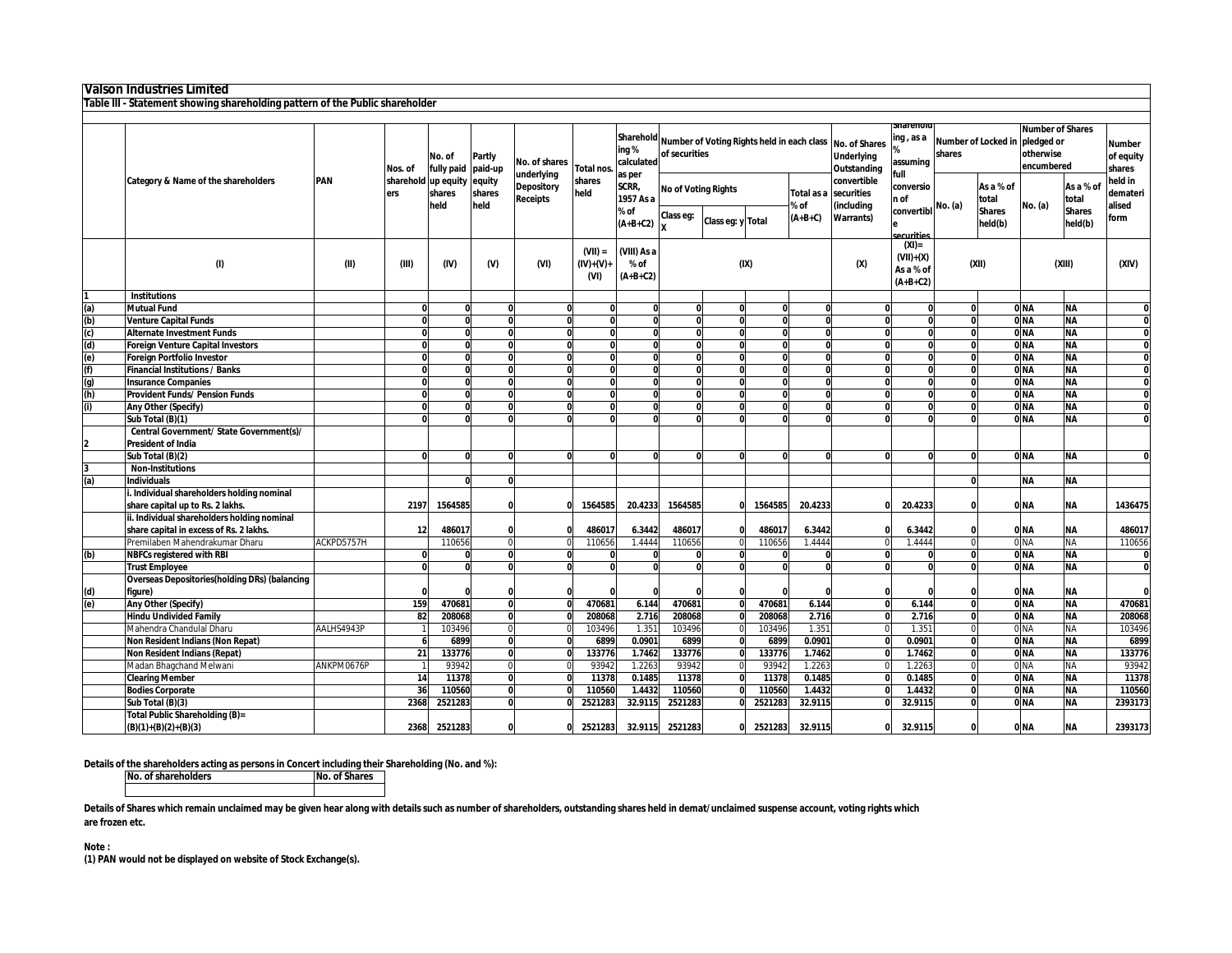|                      | Valson Industries Limited                                                     |                                                                                                                   |            |                                                |                                          |               |                                 |                                                                                                                                                  |         |                                                                       |                          |                    |                                                          |                                                    |                               |                |                                                                  |           |                                      |
|----------------------|-------------------------------------------------------------------------------|-------------------------------------------------------------------------------------------------------------------|------------|------------------------------------------------|------------------------------------------|---------------|---------------------------------|--------------------------------------------------------------------------------------------------------------------------------------------------|---------|-----------------------------------------------------------------------|--------------------------|--------------------|----------------------------------------------------------|----------------------------------------------------|-------------------------------|----------------|------------------------------------------------------------------|-----------|--------------------------------------|
|                      | Table III - Statement showing shareholding pattern of the Public shareholder  |                                                                                                                   |            |                                                |                                          |               |                                 |                                                                                                                                                  |         |                                                                       |                          |                    |                                                          |                                                    |                               |                |                                                                  |           |                                      |
|                      |                                                                               |                                                                                                                   |            |                                                |                                          |               |                                 |                                                                                                                                                  |         |                                                                       |                          |                    |                                                          |                                                    |                               |                |                                                                  |           |                                      |
|                      |                                                                               |                                                                                                                   | Nos. of    | No. of<br>fully paid                           | Partly<br>paid-up                        | No. of shares | Total nos.                      | ing%<br>calculated                                                                                                                               |         | Sharehold Number of Voting Rights held in each class<br>of securities |                          |                    | <b>No. of Shares</b><br><b>Underlying</b><br>Outstanding | narenor<br>ing , as a<br>assuming                  | Number of Locked in<br>shares |                | <b>Number of Shares</b><br>pledged or<br>otherwise<br>encumbered |           | <b>Number</b><br>of equity<br>shares |
|                      | Category & Name of the shareholders                                           | underlying<br>PAN<br>sharehold<br>up equity<br>equity<br><b>Depository</b><br>shares<br>shares<br>ers<br>Receipts |            | as per<br>shares<br>SCRR,<br>held<br>1957 As a | <b>No of Voting Rights</b><br>Total as a |               | convertible<br>securities       | full<br>conversio<br>n of                                                                                                                        |         | As a % of<br>total                                                    |                          | As a % of<br>total | held in<br>demateri<br>alised                            |                                                    |                               |                |                                                                  |           |                                      |
|                      |                                                                               |                                                                                                                   |            | held                                           | held                                     |               |                                 | (including<br>convertibl No. (a)<br>% of<br>% of<br>Class eg:<br>$(A+B+C)$<br><b>Warrants</b> )<br>Class eg: y Total<br>$(A+B+C2)$<br>securities |         |                                                                       | <b>Shares</b><br>held(b) | No. (a)            | <b>Shares</b><br>held(b)                                 | form                                               |                               |                |                                                                  |           |                                      |
|                      | (1)                                                                           | (II)                                                                                                              | <b>GID</b> | (IV)                                           | $(M)$                                    | (VI)          | $(VII) =$<br>$(IV)+(V)$<br>(VI) | (VIII) As a<br>% of<br>$(A+B+C2)$                                                                                                                |         |                                                                       | (IX)                     |                    | (x)                                                      | $(XI) =$<br>$(VII)+(X)$<br>As a % of<br>$(A+B+C2)$ |                               | (X I)          |                                                                  | (XIII)    | (XIV)                                |
|                      | <b>Institutions</b>                                                           |                                                                                                                   |            |                                                |                                          |               |                                 |                                                                                                                                                  |         |                                                                       |                          |                    |                                                          |                                                    |                               |                |                                                                  |           |                                      |
| $\overline{a}$       | <b>Mutual Fund</b>                                                            |                                                                                                                   |            |                                                |                                          |               |                                 |                                                                                                                                                  |         | $\Omega$                                                              | $\Omega$                 |                    |                                                          |                                                    |                               | $\Omega$       | 0 <sub>NA</sub>                                                  | <b>NA</b> |                                      |
|                      | <b>Venture Capital Funds</b>                                                  |                                                                                                                   |            | $\Omega$                                       | э                                        |               |                                 |                                                                                                                                                  |         | $\Omega$<br>$\Omega$                                                  |                          | $\Omega$           | $\mathbf{0}$                                             | $\Omega$                                           |                               | $\overline{0}$ | 0 <sub>N</sub>                                                   | <b>NA</b> | O                                    |
| <u>agaaaa</u>        | <b>Alternate Investment Funds</b>                                             |                                                                                                                   |            | $\mathbf{a}$                                   | $\Omega$                                 | $\Omega$      |                                 |                                                                                                                                                  |         | $\Omega$                                                              | $\Omega$                 | 0                  |                                                          | <sub>0</sub>                                       | $\mathbf{0}$                  | $\Omega$       | 0 <sub>N</sub>                                                   | <b>NA</b> |                                      |
|                      | <b>Foreign Venture Capital Investors</b>                                      |                                                                                                                   | ŋ          | $\Omega$                                       | э                                        | $\mathbf 0$   |                                 |                                                                                                                                                  |         | $\Omega$<br>O                                                         |                          | $\mathbf{0}$       | $\Omega$                                                 | $\Omega$                                           |                               | $\overline{0}$ | 0 <sub>N</sub>                                                   | <b>NA</b> | 0                                    |
|                      | <b>Foreign Portfolio Investor</b>                                             |                                                                                                                   | ŋ          | $\Omega$                                       | $\Omega$                                 | $\Omega$      |                                 |                                                                                                                                                  |         | $\Omega$<br>$\Omega$                                                  |                          | $\mathbf{0}$       | $\Omega$                                                 | $\Omega$                                           |                               | 0              | 0 <sub>N</sub>                                                   | <b>NA</b> | 0                                    |
|                      | <b>Financial Institutions / Banks</b>                                         |                                                                                                                   |            | $\Omega$                                       | $\Omega$                                 | $\mathbf{0}$  |                                 |                                                                                                                                                  |         |                                                                       | $\Omega$                 | $\bf{0}$           | O                                                        | $\Omega$                                           |                               | $\mathbf{0}$   | 0 <sub>NA</sub>                                                  | <b>NA</b> | 0                                    |
|                      | <b>Insurance Companies</b>                                                    |                                                                                                                   |            | $\mathbf{0}$                                   | $\Omega$                                 |               |                                 |                                                                                                                                                  |         |                                                                       | $\mathbf{0}$             | $\Omega$           | $\Omega$                                                 | $\Omega$                                           |                               | $\bf{0}$       | 0 <sub>NA</sub>                                                  | ΝA        | $\mathbf{0}$                         |
|                      | <b>Provident Funds/ Pension Funds</b>                                         |                                                                                                                   | $\Omega$   | $\Omega$                                       | $\Omega$                                 | $\Omega$      |                                 | O                                                                                                                                                |         | $\Omega$                                                              | $\Omega$                 | 0                  |                                                          | <sub>0</sub>                                       | <sub>0</sub>                  | $\mathbf{0}$   | 0 <sub>NA</sub>                                                  | <b>NA</b> | $\mathbf{0}$                         |
| $\ddot{\bm{\theta}}$ | Any Other (Specify)                                                           |                                                                                                                   | Û          | $\Omega$                                       | $\Omega$                                 | $\Omega$      |                                 | O                                                                                                                                                |         | $\Omega$<br>$\Omega$                                                  |                          | $\Omega$           |                                                          | U<br>$\Omega$                                      |                               | $\mathbf{0}$   | 0 <sub>NA</sub>                                                  | <b>NA</b> | 0                                    |
|                      | Sub Total (B)(1)                                                              |                                                                                                                   | Û          | $\Omega$                                       | $\Omega$                                 |               |                                 |                                                                                                                                                  |         | $\Omega$<br>Û                                                         |                          | $\Omega$           |                                                          | O<br>$\Omega$                                      |                               | $\overline{0}$ | 0 <sub>N</sub>                                                   | <b>NA</b> | 0                                    |
|                      | Central Government/ State Government(s)/                                      |                                                                                                                   |            |                                                |                                          |               |                                 |                                                                                                                                                  |         |                                                                       |                          |                    |                                                          |                                                    |                               |                |                                                                  |           |                                      |
| 2                    | <b>President of India</b>                                                     |                                                                                                                   |            |                                                |                                          |               |                                 |                                                                                                                                                  |         |                                                                       |                          |                    |                                                          |                                                    |                               |                |                                                                  |           |                                      |
|                      | Sub Total (B)(2)                                                              |                                                                                                                   |            | $\Omega$                                       | $\Omega$                                 |               |                                 |                                                                                                                                                  |         |                                                                       | $\Omega$                 |                    | O                                                        | n                                                  |                               | $\Omega$       | 0 <sub>N</sub>                                                   | <b>NA</b> |                                      |
|                      | <b>Non-Institutions</b>                                                       |                                                                                                                   |            |                                                |                                          |               |                                 |                                                                                                                                                  |         |                                                                       |                          |                    |                                                          |                                                    |                               |                |                                                                  |           |                                      |
| 3<br>(a)             | <b>Individuals</b>                                                            |                                                                                                                   |            | $\Omega$                                       | $\mathbf{0}$                             |               |                                 |                                                                                                                                                  |         |                                                                       |                          |                    |                                                          |                                                    |                               | $\Omega$       | <b>NA</b>                                                        | <b>NA</b> |                                      |
|                      | . Individual shareholders holding nominal<br>share capital up to Rs. 2 lakhs. |                                                                                                                   | 2197       | 1564585                                        |                                          |               | 1564585                         | 20.4233                                                                                                                                          | 1564585 |                                                                       | 1564585                  | 20.4233            |                                                          | 20.4233                                            |                               | $\Omega$       | 0 NA                                                             | ΝA        | 1436475                              |
|                      | ii. Individual shareholders holding nominal                                   |                                                                                                                   |            |                                                |                                          |               |                                 |                                                                                                                                                  |         |                                                                       |                          |                    |                                                          |                                                    |                               |                |                                                                  |           |                                      |
|                      | share capital in excess of Rs. 2 lakhs.                                       |                                                                                                                   | 12         | 486017                                         |                                          |               | 486017                          | 6.3442                                                                                                                                           | 486017  |                                                                       | 486017                   | 6.3442             |                                                          | 6.3442                                             |                               | $\Omega$       | 0 <sub>NA</sub>                                                  | <b>NA</b> | 486017                               |
|                      | Premilaben Mahendrakumar Dharu                                                | ACKPD5757H                                                                                                        |            | 110656                                         | $\Omega$                                 |               | 110656                          | 1.4444                                                                                                                                           | 110656  |                                                                       | 110656                   | 1.4444             |                                                          | 1.4444                                             |                               | $\mathbf{0}$   | 0 <sub>N</sub> A                                                 | <b>NA</b> | 110656                               |
| (b)                  | <b>NBFCs registered with RBI</b>                                              |                                                                                                                   |            | n                                              | $\bf{0}$                                 |               |                                 |                                                                                                                                                  |         | $\Omega$<br>$\Omega$                                                  |                          |                    | O                                                        | $\Omega$                                           |                               | 0              | 0 <sub>N</sub>                                                   | NA        | 0                                    |
|                      | <b>Trust Employee</b>                                                         |                                                                                                                   |            | n                                              | $\Omega$                                 |               |                                 |                                                                                                                                                  |         | $\Omega$                                                              |                          |                    | O                                                        | n                                                  |                               | $\Omega$       | 0 <sub>NA</sub>                                                  | ΝA        | 0                                    |
|                      | <b>Overseas Depositories (holding DRs) (balancing</b>                         |                                                                                                                   |            |                                                |                                          |               |                                 |                                                                                                                                                  |         |                                                                       |                          |                    |                                                          |                                                    |                               |                |                                                                  |           |                                      |
|                      | figure)                                                                       |                                                                                                                   |            |                                                |                                          |               |                                 |                                                                                                                                                  |         |                                                                       |                          |                    | n                                                        |                                                    |                               | $\Omega$       | 0 <sub>NA</sub>                                                  | <b>NA</b> | $\Omega$                             |
| $\frac{d}{e}$        | Any Other (Specify)                                                           |                                                                                                                   | 159        | 470681                                         | $\Omega$                                 |               | 470681                          | 6.144                                                                                                                                            | 470681  | $\mathbf{0}$                                                          | 470681                   | 6.144              | $\bf{0}$                                                 | 6.144                                              |                               | $\bf{0}$       | 0 <sub>NA</sub>                                                  | <b>NA</b> | 470681                               |
|                      | <b>Hindu Undivided Family</b>                                                 |                                                                                                                   | 82         | 208068                                         | $\mathbf{0}$                             |               | 208068                          | 2.716                                                                                                                                            | 208068  |                                                                       | 208068                   | 2.716              | $\Omega$                                                 | 2.716                                              |                               | $\mathbf{0}$   | 0 <sub>N</sub>                                                   | <b>NA</b> | 208068                               |
|                      | Mahendra Chandulal Dharu                                                      | AALHS4943P                                                                                                        |            | 103496                                         | $\Omega$                                 |               | 103496                          | 1.351                                                                                                                                            | 103496  |                                                                       | 103496                   | 1.351              | U                                                        | 1.351                                              |                               | $\mathbf 0$    | 0 <sub>N</sub> A                                                 | ΝA        | 103496                               |
|                      | Non Resident Indians (Non Repat)                                              |                                                                                                                   |            | 6899                                           | э                                        |               | 6899                            | 0.0901                                                                                                                                           | 6899    |                                                                       | 6899                     | 0.0901             | $\Omega$                                                 | 0.0901                                             |                               | Ō              | 0 <sub>NA</sub>                                                  | <b>NA</b> | 6899                                 |
|                      | <b>Non Resident Indians (Repat)</b>                                           |                                                                                                                   | 21         | 133776                                         | э                                        |               | 133776                          | 1.7462                                                                                                                                           | 133776  |                                                                       | 133776                   | 1.7462             | Û                                                        | 1.7462                                             |                               | $\overline{0}$ | 0 <sub>N</sub>                                                   | <b>NA</b> | 133776                               |
|                      | Madan Bhagchand Melwani                                                       | ANKPM0676P                                                                                                        |            | 93942                                          | $\Omega$                                 |               | 9394                            | 1.2263                                                                                                                                           | 93942   |                                                                       | 93942                    | 1.2263             |                                                          | 1.2263                                             |                               | $\mathbf 0$    | 0 <sub>NA</sub>                                                  | ΝA        | 93942                                |
|                      | <b>Clearing Member</b>                                                        |                                                                                                                   | 14         | 11378                                          | $\overline{\mathbf{0}}$                  |               | 11378                           | 0.1485                                                                                                                                           | 11378   | $\Omega$                                                              | 11378                    | 0.1485             |                                                          | 0.1485<br>U                                        |                               | $\mathbf{0}$   | 0 <sub>N</sub>                                                   | <b>NA</b> | 11378                                |
|                      | <b>Bodies Corporate</b>                                                       |                                                                                                                   | 36         | 110560                                         | $\bf{0}$                                 |               | 110560                          | 1.4432                                                                                                                                           | 110560  |                                                                       | 110560                   | 1.4432             |                                                          | 1.4432<br>O                                        |                               | 0              | 0 <sub>NA</sub>                                                  | <b>NA</b> | 110560                               |
|                      | Sub Total (B)(3)                                                              |                                                                                                                   | 2368       | 2521283                                        | э                                        |               | 2521283                         | 32.9115                                                                                                                                          | 2521283 |                                                                       | 2521283                  | 32.9115            |                                                          | 32.9115                                            |                               | $\overline{0}$ | 0 <sub>N</sub>                                                   | <b>NA</b> | 2393173                              |
|                      | Total Public Shareholding (B)=<br>$(B)(1)+(B)(2)+(B)(3)$                      |                                                                                                                   | 2368       | 2521283                                        | $\Omega$                                 | $\Omega$      | 2521283                         | 32.9115                                                                                                                                          | 2521283 |                                                                       | 2521283<br>ŋ             | 32.9115            |                                                          | 32.9115<br>0                                       |                               | <sup>0</sup>   | 0 <sub>NA</sub>                                                  | <b>NA</b> | 2393173                              |

**Details of the shareholders acting as persons in Concert including their Shareholding (No. and %): No. of shareholders No. of Shares**

Details of Shares which remain unclaimed may be given hear along with details such as number of shareholders, outstanding shares held in demat/unclaimed suspense account, voting rights which **are frozen etc.**

**Note :**

**(1) PAN would not be displayed on website of Stock Exchange(s).**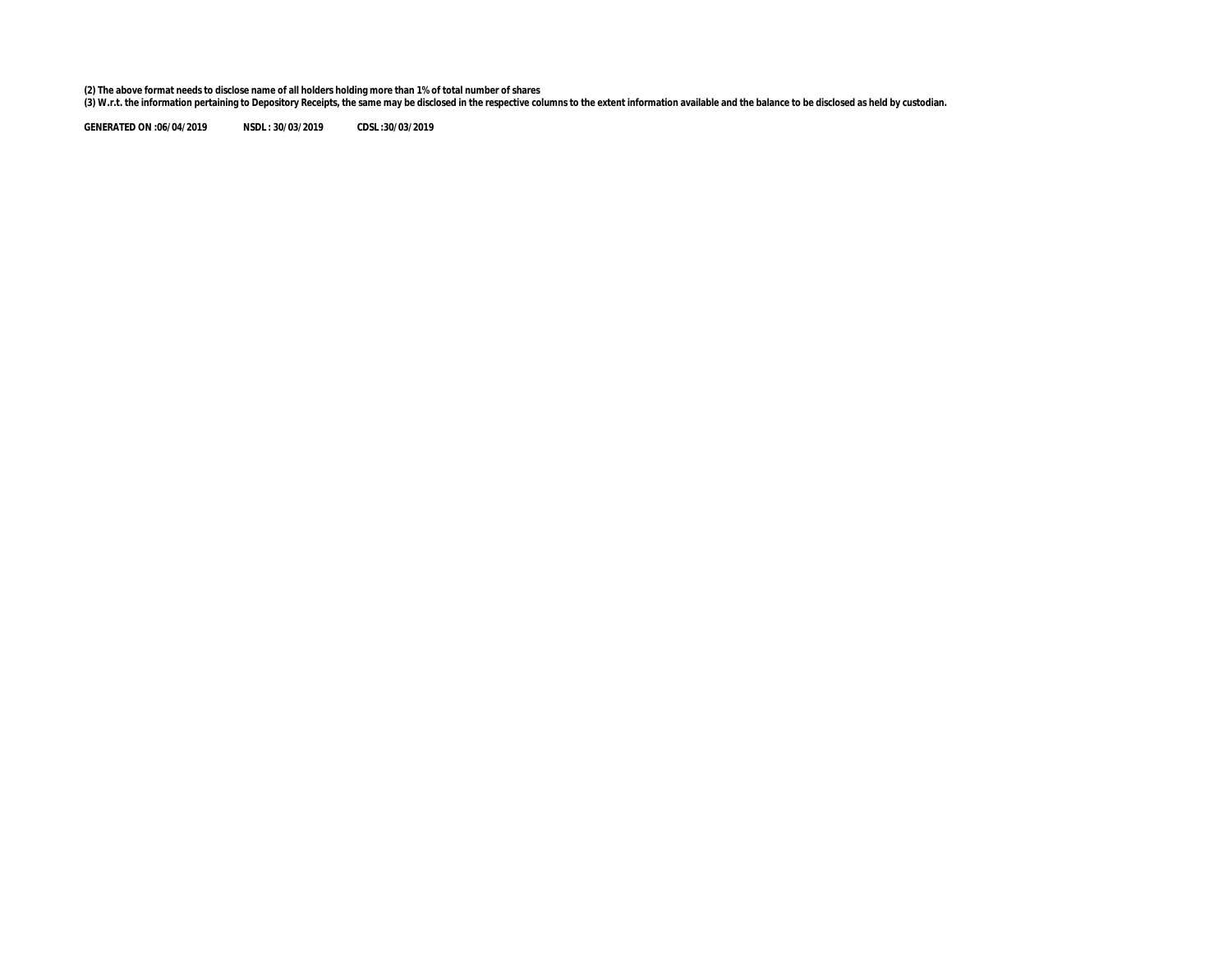(2) The above format needs to disclose name of all holders holding more than 1% of total number of shares<br>(3) W.r.t. the information pertaining to Depository Receipts, the same may be disclosed in the respective columns to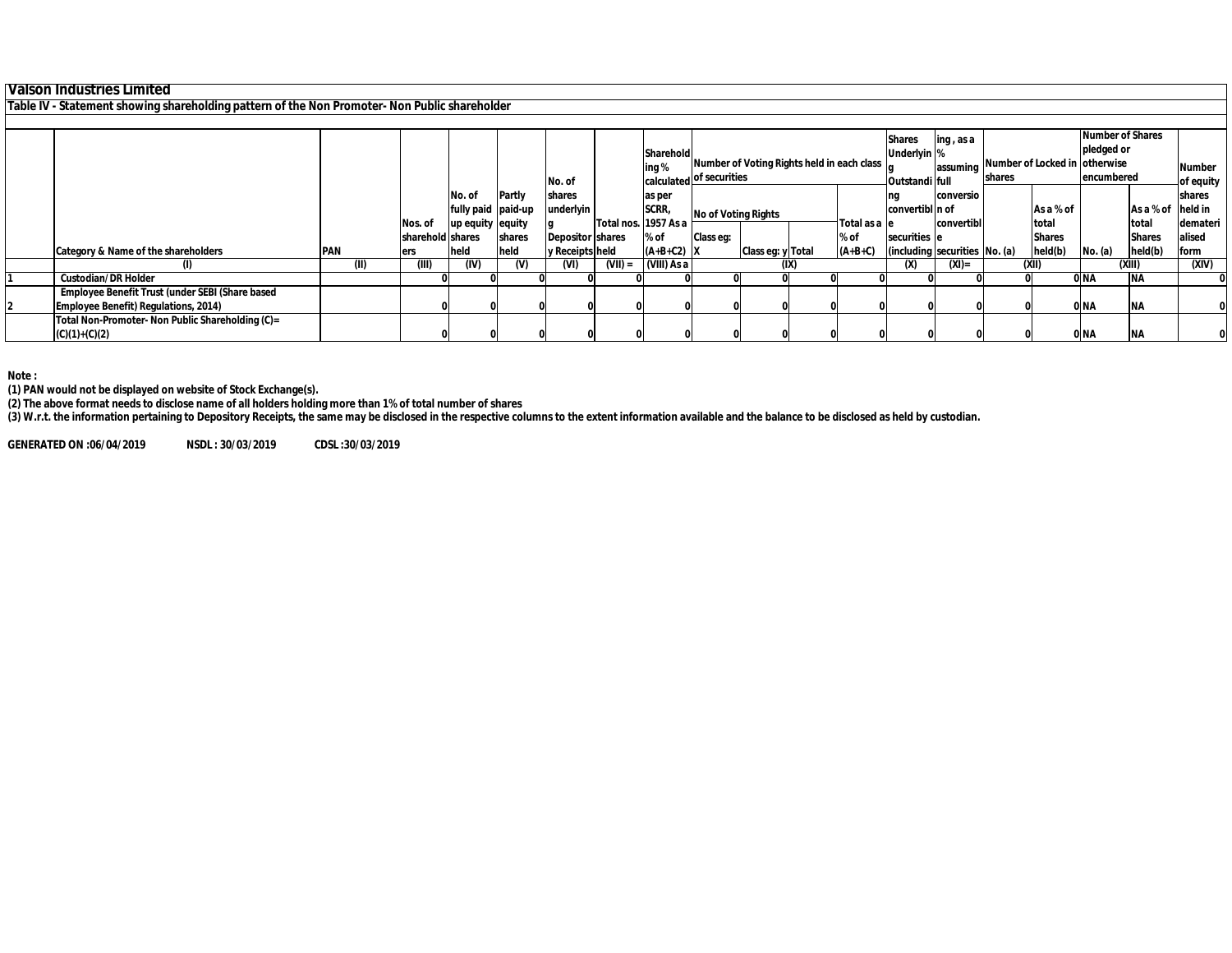## **Valson Industries Limited**

**Table IV - Statement showing shareholding pattern of the Non Promoter- Non Public shareholder**

|                                                  |            |                  |                    |          |                         |           |                      |                          |                                            |               | <b>Shares</b>                 | ing, as a  |               |                               | <b>Number of Shares</b> |                   |               |
|--------------------------------------------------|------------|------------------|--------------------|----------|-------------------------|-----------|----------------------|--------------------------|--------------------------------------------|---------------|-------------------------------|------------|---------------|-------------------------------|-------------------------|-------------------|---------------|
|                                                  |            |                  |                    |          |                         |           | Sharehold            |                          |                                            |               | Underlyin %                   |            |               |                               | pledged or              |                   |               |
|                                                  |            |                  |                    |          |                         |           | ing %                |                          | Number of Voting Rights held in each class |               |                               | assuming   |               | Number of Locked in otherwise |                         |                   | <b>Number</b> |
|                                                  |            |                  |                    |          | No. of                  |           |                      | calculated of securities |                                            |               | Outstandi full                |            | <b>shares</b> |                               | encumbered              |                   | of equity     |
|                                                  |            |                  | No. of             | Partly   | shares                  |           | as per               |                          |                                            |               |                               | conversio  |               |                               |                         |                   | shares        |
|                                                  |            |                  | fully paid paid-up |          | underlyin               |           | SCRR,                | No of Voting Rights      |                                            |               | convertibl n of               |            |               | As a % of                     |                         | As a % of held in |               |
|                                                  |            | Nos. of          | up equity equity   |          |                         |           | Total nos. 1957 As a |                          |                                            | Total as a le |                               | convertibl |               | total                         |                         | total             | demateri      |
|                                                  |            | sharehold shares |                    | shares   | <b>Depositor shares</b> |           | % of                 | Class eq:                |                                            | % of          | securities e                  |            |               | <b>Shares</b>                 |                         | <b>Shares</b>     | alised        |
| Category & Name of the shareholders              | <b>PAN</b> | ers              | held               | held     | y Receipts held         |           | $(A+B+C2)$ X         |                          | Class eq: y Total                          | $(A+B+C)$     | (including securities No. (a) |            |               | held(b)                       | No. (a)                 | held(b)           | form          |
|                                                  | (II)       | (III)            | (IV)               | $^{(V)}$ | (VI)                    | $(VII)$ = | (VIII) As a          |                          | (IX)                                       |               | (x)                           | $(XI)$ =   |               | (XII)                         |                         | (XIII)            | (XIV)         |
| <b>Custodian/DR Holder</b>                       |            |                  |                    |          |                         |           |                      |                          |                                            |               |                               |            |               |                               | 0 <sub>NA</sub>         | <b>NA</b>         |               |
| Employee Benefit Trust (under SEBI (Share based  |            |                  |                    |          |                         |           |                      |                          |                                            |               |                               |            |               |                               |                         |                   |               |
| <b>Employee Benefit) Regulations, 2014)</b>      |            |                  |                    |          |                         |           |                      |                          |                                            |               |                               |            |               |                               | 0 <sub>NA</sub>         | <b>NA</b>         |               |
| Total Non-Promoter- Non Public Shareholding (C)= |            |                  |                    |          |                         |           |                      |                          |                                            |               |                               |            |               |                               |                         |                   |               |
| $(C)(1)+(C)(2)$                                  |            |                  |                    |          |                         |           |                      |                          |                                            |               |                               |            |               |                               | 0 <sub>NA</sub>         | <b>NA</b>         |               |

**Note :**

**(1) PAN would not be displayed on website of Stock Exchange(s).** 

**(2) The above format needs to disclose name of all holders holding more than 1% of total number of shares**

**(3) W.r.t. the information pertaining to Depository Receipts, the same may be disclosed in the respective columns to the extent information available and the balance to be disclosed as held by custodian.**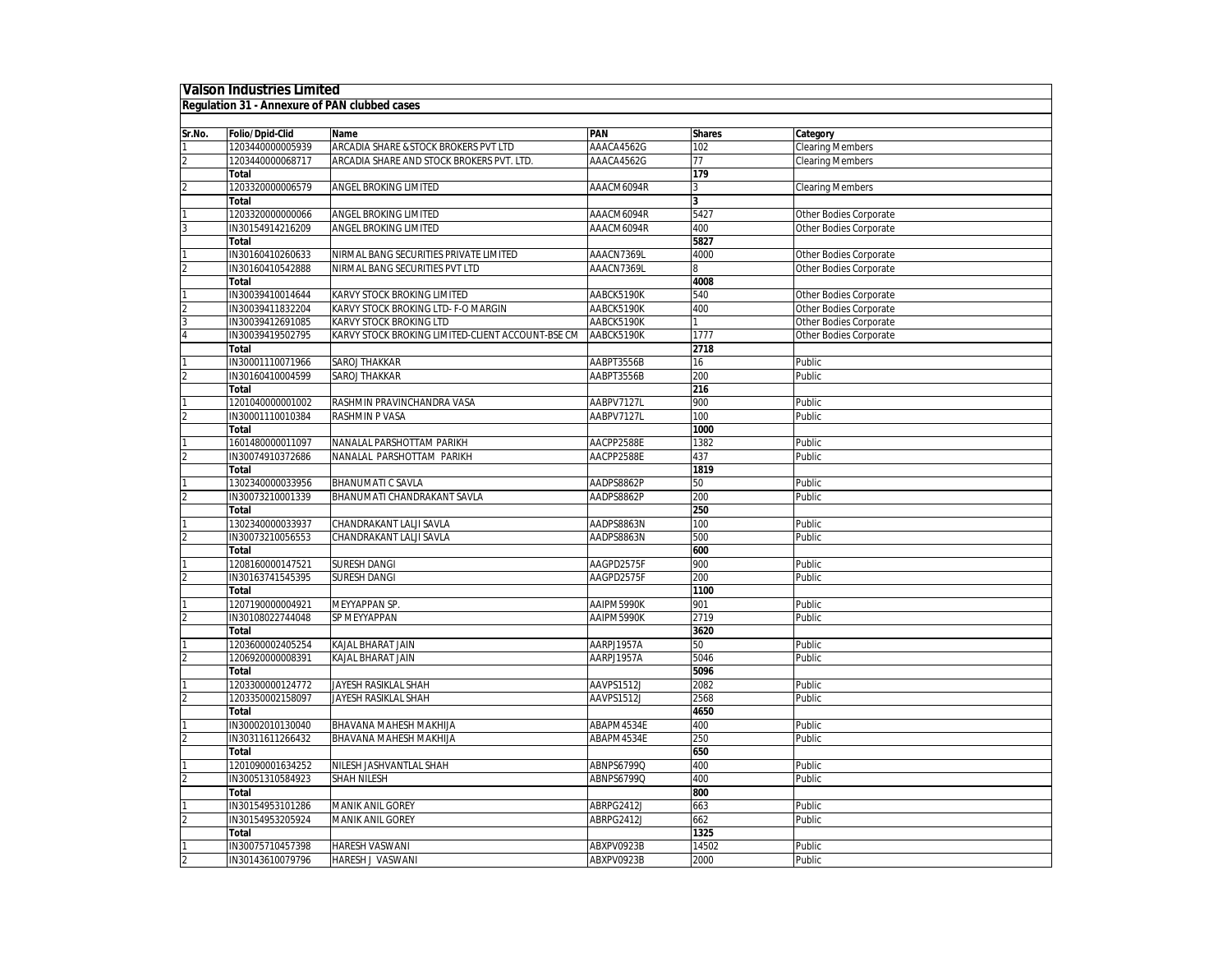## **Valson Industries Limited**

## **Regulation 31 - Annexure of PAN clubbed cases**

| Sr.No.         | Folio/Dpid-Clid  | <b>Name</b>                                       | PAN        | <b>Shares</b>           | Category                |
|----------------|------------------|---------------------------------------------------|------------|-------------------------|-------------------------|
|                | 1203440000005939 | ARCADIA SHARE & STOCK BROKERS PVT LTD             | AAACA4562G | 102                     | <b>Clearing Members</b> |
| $\overline{2}$ | 1203440000068717 | ARCADIA SHARE AND STOCK BROKERS PVT. LTD.         | AAACA4562G | $\overline{77}$         | <b>Clearing Members</b> |
|                | Total            |                                                   |            | 179                     |                         |
|                | 1203320000006579 | ANGEL BROKING LIMITED                             | AAACM6094R | 3                       | <b>Clearing Members</b> |
|                | Total            |                                                   |            | $\overline{\mathbf{3}}$ |                         |
|                | 1203320000000066 | <b>ANGEL BROKING LIMITED</b>                      | AAACM6094R | 5427                    | Other Bodies Corporate  |
|                | IN30154914216209 | <b>ANGEL BROKING LIMITED</b>                      | AAACM6094R | 400                     | Other Bodies Corporate  |
|                | Total            |                                                   |            | 5827                    |                         |
|                | IN30160410260633 | NIRMAL BANG SECURITIES PRIVATE LIMITED            | AAACN7369L | 4000                    | Other Bodies Corporate  |
|                | IN30160410542888 | NIRMAL BANG SECURITIES PVT LTD                    | AAACN7369L |                         | Other Bodies Corporate  |
|                | <b>Total</b>     |                                                   |            | 4008                    |                         |
|                | IN30039410014644 | KARVY STOCK BROKING LIMITED                       | AABCK5190K | 540                     | Other Bodies Corporate  |
|                | IN30039411832204 | KARVY STOCK BROKING LTD- F-O MARGIN               | AABCK5190K | 400                     | Other Bodies Corporate  |
|                | IN30039412691085 | KARVY STOCK BROKING LTD                           | AABCK5190K |                         | Other Bodies Corporate  |
|                | IN30039419502795 | KARVY STOCK BROKING LIMITED-CLIENT ACCOUNT-BSE CM | AABCK5190K | 1777                    | Other Bodies Corporate  |
|                | Total            |                                                   |            | 2718                    |                         |
|                | IN30001110071966 | <b>SAROJ THAKKAR</b>                              | AABPT3556B | 16                      | Public                  |
|                | IN30160410004599 | <b>SAROJ THAKKAR</b>                              | AABPT3556B | 200                     | Public                  |
|                | Total            |                                                   |            | 216                     |                         |
|                | 1201040000001002 | RASHMIN PRAVINCHANDRA VASA                        | AABPV7127L | 900                     | Public                  |
|                | IN30001110010384 | <b>RASHMIN P VASA</b>                             | AABPV7127L | 100                     | Public                  |
|                | Total            |                                                   |            | 1000                    |                         |
|                | 1601480000011097 | NANALAL PARSHOTTAM PARIKH                         | AACPP2588E | 1382                    | Public                  |
|                | IN30074910372686 | NANALAL PARSHOTTAM PARIKH                         | AACPP2588E | 437                     | Public                  |
|                | Total            |                                                   |            | 1819                    |                         |
|                | 1302340000033956 | <b>BHANUMATI C SAVLA</b>                          | AADPS8862P | 50                      | Public                  |
|                | IN30073210001339 | BHANUMATI CHANDRAKANT SAVLA                       | AADPS8862P | 200                     | Public                  |
|                | <b>Total</b>     |                                                   |            | 250                     |                         |
|                | 1302340000033937 | CHANDRAKANT LALJI SAVLA                           | AADPS8863N | 100                     |                         |
|                | IN30073210056553 | CHANDRAKANT LALJI SAVLA                           | AADPS8863N | 500                     | Public<br>Public        |
|                | Total            |                                                   |            | 600                     |                         |
|                | 1208160000147521 | <b>SURESH DANGI</b>                               |            | 900                     |                         |
|                |                  |                                                   | AAGPD2575F |                         | Public                  |
|                | IN30163741545395 | <b>SURESH DANGI</b>                               | AAGPD2575F | 200                     | Public                  |
|                | Total            |                                                   |            | 1100                    |                         |
|                | 1207190000004921 | MEYYAPPAN SP.                                     | AAIPM5990K | 901                     | Public                  |
|                | IN30108022744048 | SP MEYYAPPAN                                      | AAIPM5990K | 2719                    | Public                  |
|                | <b>Total</b>     |                                                   |            | 3620                    |                         |
|                | 1203600002405254 | KAJAL BHARAT JAIN                                 | AARPJ1957A | 50                      | Public                  |
|                | 1206920000008391 | KAJAL BHARAT JAIN                                 | AARPJ1957A | 5046                    | Public                  |
|                | Total            |                                                   |            | 5096                    |                         |
|                | 1203300000124772 | JAYESH RASIKLAL SHAH                              | AAVPS1512J | 2082                    | Public                  |
|                | 1203350002158097 | JAYESH RASIKLAL SHAH                              | AAVPS1512J | 2568                    | Public                  |
|                | Total            |                                                   |            | 4650                    |                         |
|                | IN30002010130040 | BHAVANA MAHESH MAKHIJA                            | ABAPM4534E | 400                     | Public                  |
|                | IN30311611266432 | BHAVANA MAHESH MAKHIJA                            | ABAPM4534E | 250                     | Public                  |
|                | Total            |                                                   |            | 650                     |                         |
|                | 1201090001634252 | NILESH JASHVANTLAL SHAH                           | ABNPS6799Q | 400                     | Public                  |
|                | IN30051310584923 | SHAH NILESH                                       | ABNPS6799Q | 400                     | Public                  |
|                | Total            |                                                   |            | 800                     |                         |
|                | IN30154953101286 | <b>MANIK ANIL GOREY</b>                           | ABRPG2412J | 663                     | Public                  |
|                | IN30154953205924 | <b>MANIK ANIL GOREY</b>                           | ABRPG2412J | 662                     | Public                  |
|                | Total            |                                                   |            | 1325                    |                         |
|                | IN30075710457398 | <b>HARESH VASWANI</b>                             | ABXPV0923B | 14502                   | Public                  |
| 2              | IN30143610079796 | HARESH J VASWANI                                  | ABXPV0923B | 2000                    | Public                  |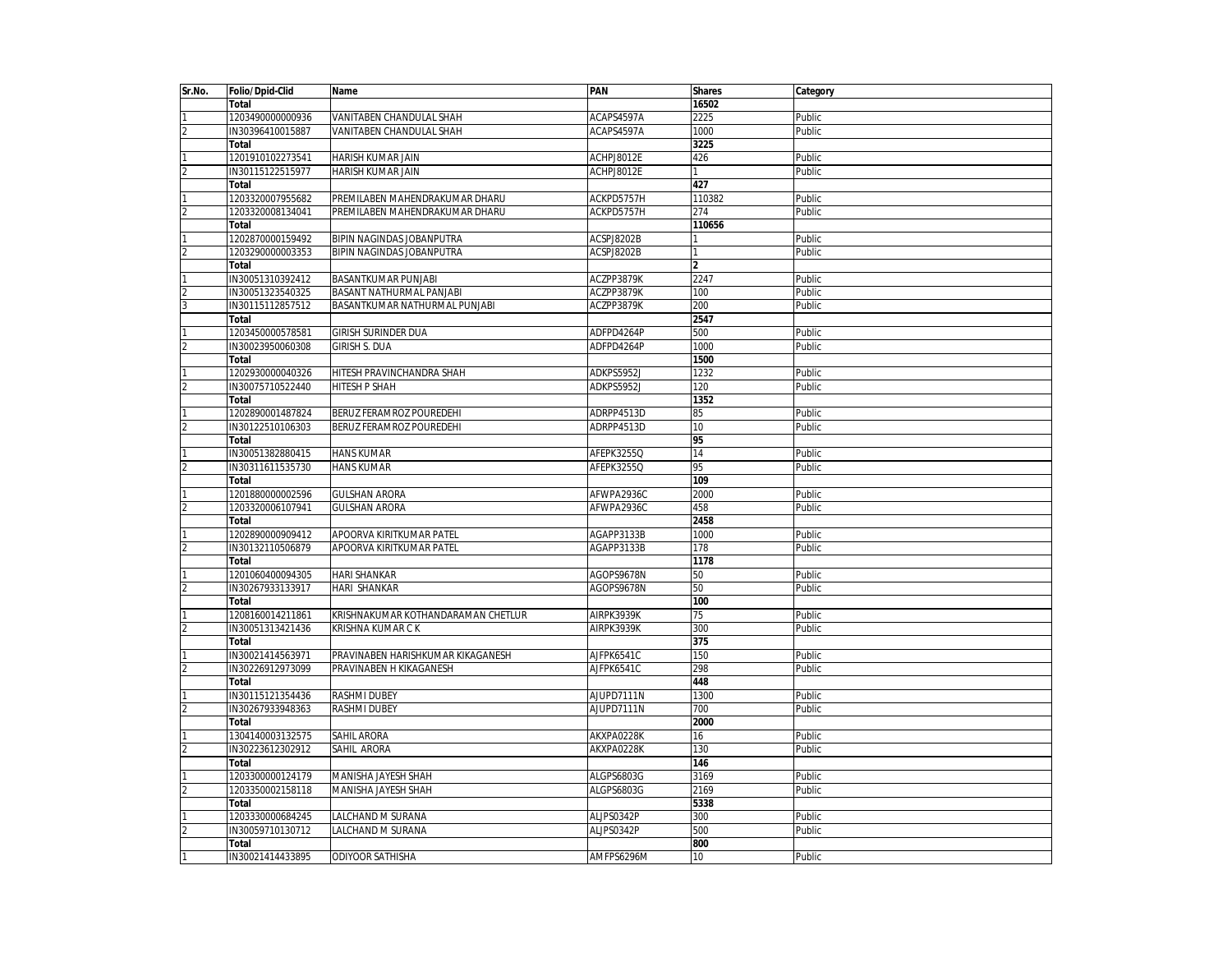| Sr.No.         | Folio/Dpid-Clid  | Name                               | PAN        | <b>Shares</b>   | Category |
|----------------|------------------|------------------------------------|------------|-----------------|----------|
|                | <b>Total</b>     |                                    |            | 16502           |          |
|                | 1203490000000936 | VANITABEN CHANDULAL SHAH           | ACAPS4597A | 2225            | Public   |
| $\overline{c}$ | IN30396410015887 | VANITABEN CHANDULAL SHAH           | ACAPS4597A | 1000            | Public   |
|                | Total            |                                    |            | 3225            |          |
|                | 1201910102273541 | HARISH KUMAR JAIN                  | ACHPJ8012E | 426             | Public   |
| $\overline{2}$ | IN30115122515977 | <b>HARISH KUMAR JAIN</b>           | ACHPJ8012E |                 | Public   |
|                | Total            |                                    |            | 427             |          |
|                | 1203320007955682 | PREMILABEN MAHENDRAKUMAR DHARU     | ACKPD5757H | 110382          | Public   |
|                | 1203320008134041 | PREMILABEN MAHENDRAKUMAR DHARU     | ACKPD5757H | 274             | Public   |
|                | Total            |                                    |            | 110656          |          |
|                | 1202870000159492 | BIPIN NAGINDAS JOBANPUTRA          | ACSPJ8202B |                 | Public   |
|                | 1203290000003353 | BIPIN NAGINDAS JOBANPUTRA          | ACSPJ8202B |                 | Public   |
|                | Total            |                                    |            | $\overline{2}$  |          |
|                |                  |                                    |            | 2247            |          |
|                | IN30051310392412 | <b>BASANTKUMAR PUNJABI</b>         | ACZPP3879K |                 | Public   |
|                | IN30051323540325 | BASANT NATHURMAL PANJABI           | ACZPP3879K | 100             | Public   |
| 3              | IN30115112857512 | BASANTKUMAR NATHURMAL PUNJABI      | ACZPP3879K | 200             | Public   |
|                | Total            |                                    |            | 2547            |          |
|                | 1203450000578581 | <b>GIRISH SURINDER DUA</b>         | ADFPD4264P | 500             | Public   |
|                | IN30023950060308 | GIRISH S. DUA                      | ADFPD4264P | 1000            | Public   |
|                | Total            |                                    |            | 1500            |          |
|                | 1202930000040326 | HITESH PRAVINCHANDRA SHAH          | ADKPS5952J | 1232            | Public   |
|                | IN30075710522440 | HITESH P SHAH                      | ADKPS5952J | 120             | Public   |
|                | Total            |                                    |            | 1352            |          |
|                | 1202890001487824 | BERUZ FERAMROZ POUREDEHI           | ADRPP4513D | 85              | Public   |
|                | IN30122510106303 | BERUZ FERAMROZ POUREDEHI           | ADRPP4513D | 10              | Public   |
|                | Total            |                                    |            | 95              |          |
|                | IN30051382880415 | <b>HANS KUMAR</b>                  | AFEPK3255Q | 14              | Public   |
|                | IN30311611535730 | <b>HANS KUMAR</b>                  | AFEPK3255Q | 95              | Public   |
|                | Total            |                                    |            | 109             |          |
|                | 1201880000002596 | <b>GULSHAN ARORA</b>               | AFWPA2936C | 2000            | Public   |
|                | 1203320006107941 | <b>GULSHAN ARORA</b>               | AFWPA2936C | 458             | Public   |
|                | <b>Total</b>     |                                    |            | 2458            |          |
|                | 1202890000909412 | APOORVA KIRITKUMAR PATEL           | AGAPP3133B | 1000            | Public   |
|                | IN30132110506879 | APOORVA KIRITKUMAR PATEL           | AGAPP3133B | 178             | Public   |
|                | Total            |                                    |            | 1178            |          |
|                | 1201060400094305 | <b>HARI SHANKAR</b>                | AGOPS9678N |                 | Public   |
|                |                  |                                    |            | 50              |          |
|                | IN30267933133917 | <b>HARI SHANKAR</b>                | AGOPS9678N | 50              | Public   |
|                | Total            |                                    |            | 100             |          |
|                | 1208160014211861 | KRISHNAKUMAR KOTHANDARAMAN CHETLUR | AIRPK3939K | $\overline{75}$ | Public   |
|                | IN30051313421436 | KRISHNA KUMAR C K                  | AIRPK3939K | 300             | Public   |
|                | Total            |                                    |            | 375             |          |
|                | IN30021414563971 | PRAVINABEN HARISHKUMAR KIKAGANESH  | AJFPK6541C | 150             | Public   |
|                | IN30226912973099 | PRAVINABEN H KIKAGANESH            | AJFPK6541C | 298             | Public   |
|                | Total            |                                    |            | 448             |          |
|                | IN30115121354436 | <b>RASHMI DUBEY</b>                | AJUPD7111N | 1300            | Public   |
|                | IN30267933948363 | <b>RASHMI DUBEY</b>                | AJUPD7111N | 700             | Public   |
|                | Total            |                                    |            | 2000            |          |
|                | 1304140003132575 | SAHIL ARORA                        | AKXPA0228K | 16              | Public   |
|                | IN30223612302912 | SAHIL ARORA                        | AKXPA0228K | 130             | Public   |
|                | Total            |                                    |            | 146             |          |
|                | 1203300000124179 | MANISHA JAYESH SHAH                | ALGPS6803G | 3169            | Public   |
|                | 1203350002158118 | MANISHA JAYESH SHAH                | ALGPS6803G | 2169            | Public   |
|                | Total            |                                    |            | 5338            |          |
|                | 1203330000684245 | LALCHAND M SURANA                  | ALJPS0342P | 300             | Public   |
|                | IN30059710130712 | LALCHAND M SURANA                  | ALJPS0342P | 500             | Public   |
|                | Total            |                                    |            | 800             |          |
|                | IN30021414433895 | <b>ODIYOOR SATHISHA</b>            | AMFPS6296M | 10              | Public   |
|                |                  |                                    |            |                 |          |